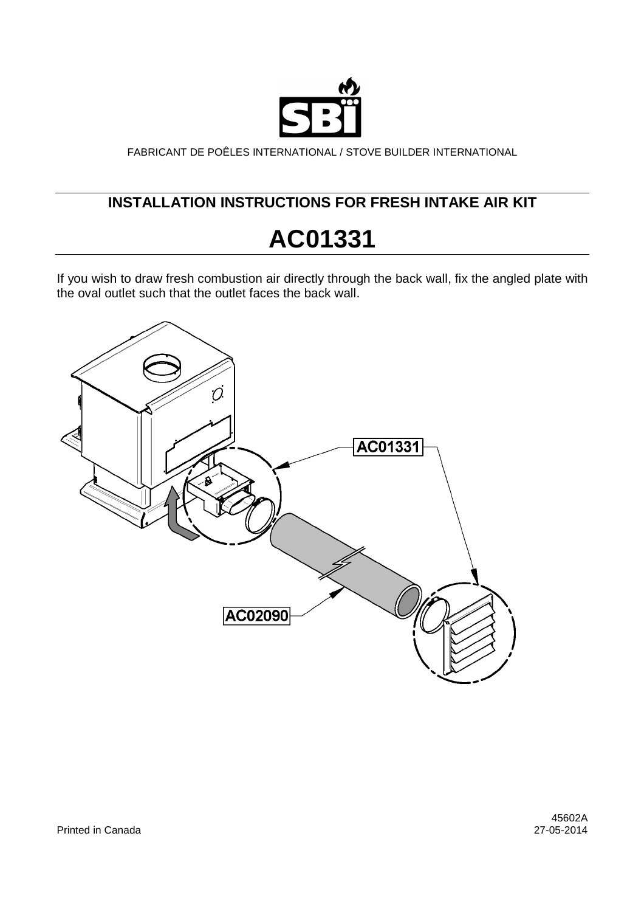

FABRICANT DE POÊLES INTERNATIONAL / STOVE BUILDER INTERNATIONAL

## **INSTALLATION INSTRUCTIONS FOR FRESH INTAKE AIR KIT**

## **AC01331**

If you wish to draw fresh combustion air directly through the back wall, fix the angled plate with the oval outlet such that the outlet faces the back wall.